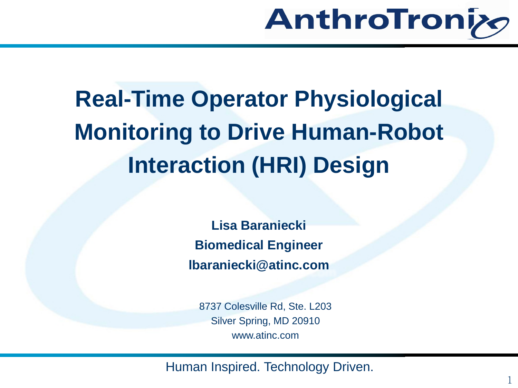

1

# **Real-Time Operator Physiological Monitoring to Drive Human-Robot Interaction (HRI) Design**

**Lisa Baraniecki Biomedical Engineer lbaraniecki@atinc.com**

8737 Colesville Rd, Ste. L203 Silver Spring, MD 20910 www.atinc.com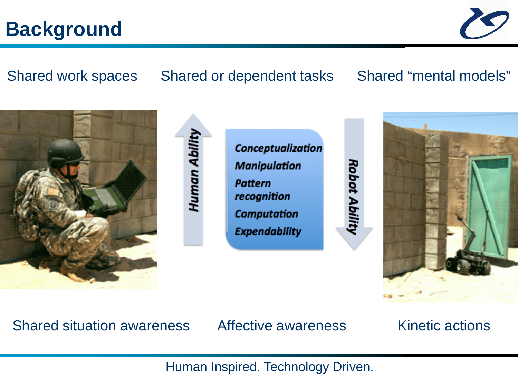### **Background**



#### Shared work spaces Shared or dependent tasks Shared "mental models"





**Conceptualization Manipulation Pattern** recognition **Computation Expendability** 

Robot Ability



#### Shared situation awareness Affective awareness Kinetic actions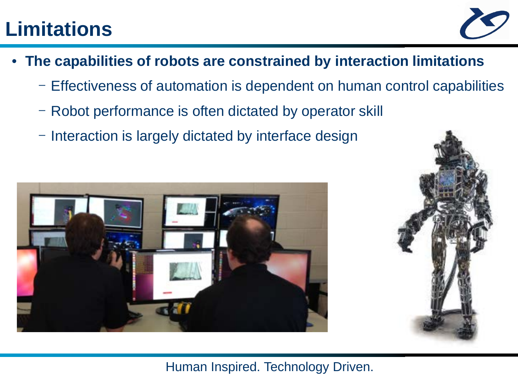#### **Limitations**



- **The capabilities of robots are constrained by interaction limitations**
	- Effectiveness of automation is dependent on human control capabilities
	- Robot performance is often dictated by operator skill
	- Interaction is largely dictated by interface design



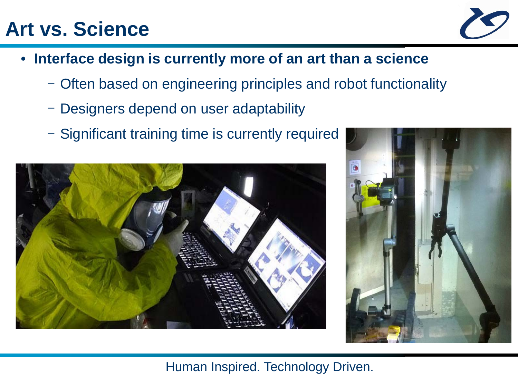## **Art vs. Science**



- **Interface design is currently more of an art than a science**
	- Often based on engineering principles and robot functionality
	- Designers depend on user adaptability
	- Significant training time is currently required



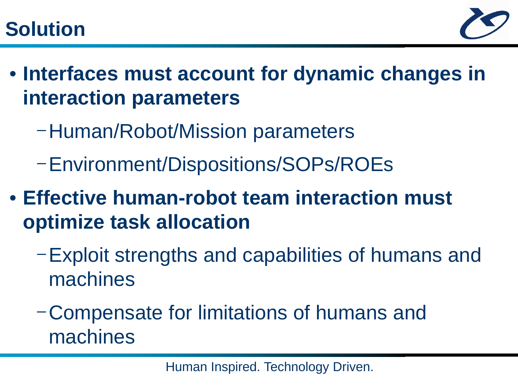

- **Interfaces must account for dynamic changes in interaction parameters** 
	- -Human/Robot/Mission parameters
	- -Environment/Dispositions/SOPs/ROEs
- **Effective human-robot team interaction must optimize task allocation**
	- -Exploit strengths and capabilities of humans and machines
	- -Compensate for limitations of humans and machines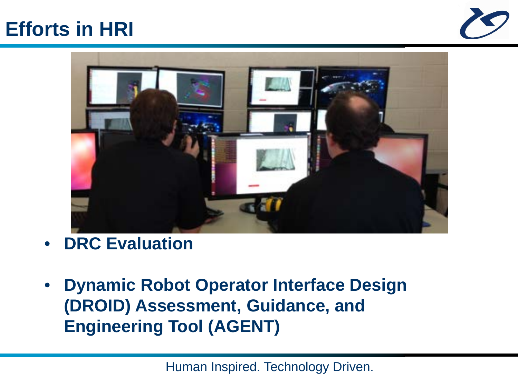#### **Efforts in HRI**





- **DRC Evaluation**
- **Dynamic Robot Operator Interface Design (DROID) Assessment, Guidance, and Engineering Tool (AGENT)**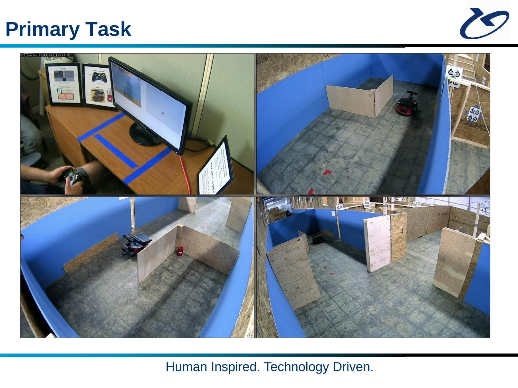### **Primary Task**



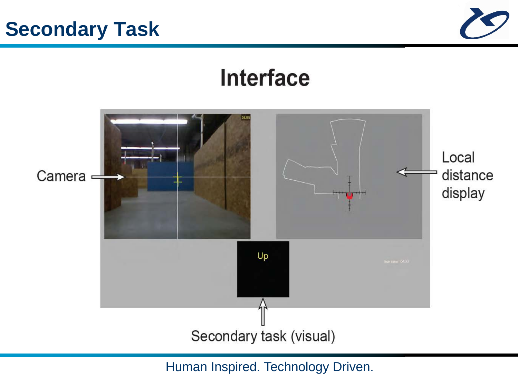



## **Interface**

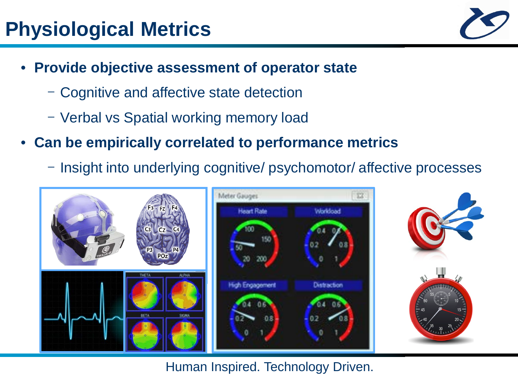## **Physiological Metrics**



- **Provide objective assessment of operator state**
	- Cognitive and affective state detection
	- Verbal vs Spatial working memory load
- **Can be empirically correlated to performance metrics**
	- Insight into underlying cognitive/ psychomotor/ affective processes

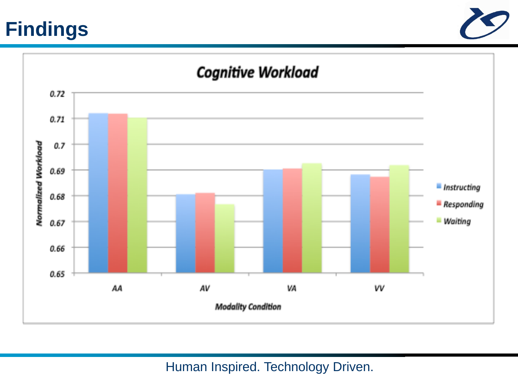#### **Findings**



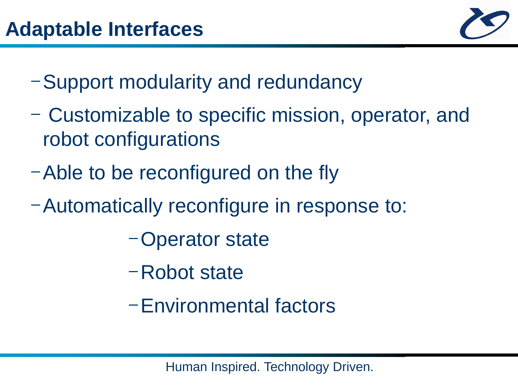![](_page_10_Picture_1.jpeg)

- -Support modularity and redundancy
- Customizable to specific mission, operator, and robot configurations
- -Able to be reconfigured on the fly
- -Automatically reconfigure in response to:
	- -Operator state
	- -Robot state
	- -Environmental factors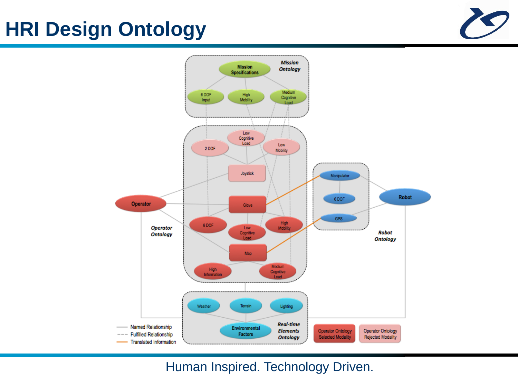### **HRI Design Ontology**

![](_page_11_Figure_2.jpeg)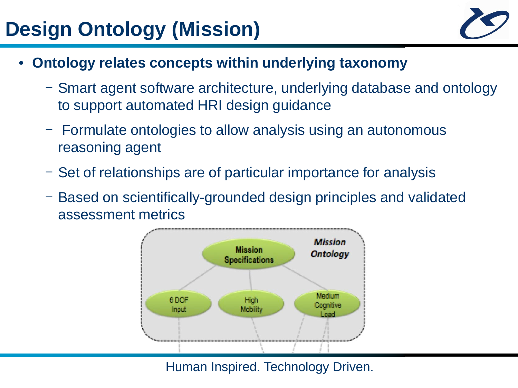## **Design Ontology (Mission)**

![](_page_12_Picture_1.jpeg)

- **Ontology relates concepts within underlying taxonomy**
	- Smart agent software architecture, underlying database and ontology to support automated HRI design guidance
	- Formulate ontologies to allow analysis using an autonomous reasoning agent
	- Set of relationships are of particular importance for analysis
	- Based on scientifically-grounded design principles and validated assessment metrics

![](_page_12_Figure_7.jpeg)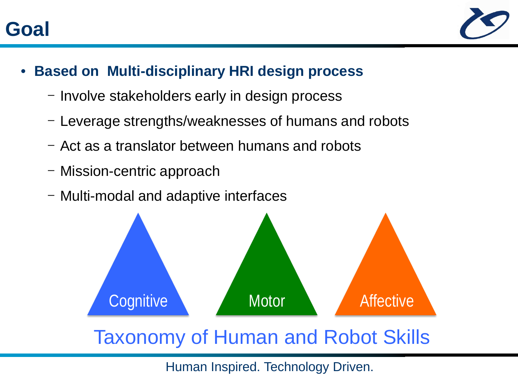![](_page_13_Picture_0.jpeg)

![](_page_13_Picture_1.jpeg)

- **Based on Multi-disciplinary HRI design process**
	- Involve stakeholders early in design process
	- Leverage strengths/weaknesses of humans and robots
	- Act as a translator between humans and robots
	- Mission-centric approach
	- Multi-modal and adaptive interfaces

![](_page_13_Figure_8.jpeg)

#### Taxonomy of Human and Robot Skills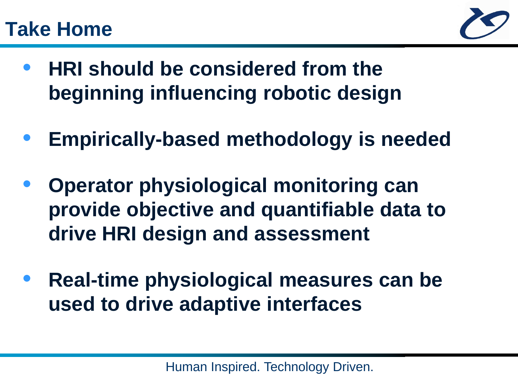#### **Take Home**

![](_page_14_Picture_1.jpeg)

- **HRI should be considered from the beginning influencing robotic design**
- **Empirically-based methodology is needed**
- **Operator physiological monitoring can provide objective and quantifiable data to drive HRI design and assessment**
- **Real-time physiological measures can be used to drive adaptive interfaces**